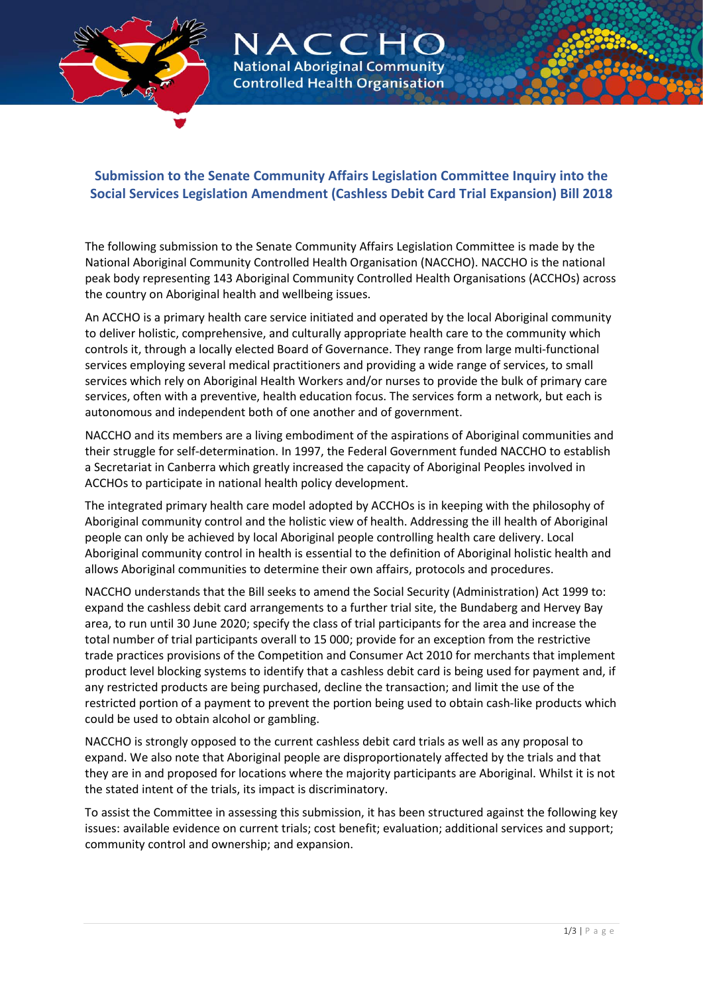

# $ACC$ **National Aboriginal Community Controlled Health Organisation**

# **Submission to the Senate Community Affairs Legislation Committee Inquiry into the Social Services Legislation Amendment (Cashless Debit Card Trial Expansion) Bill 2018**

The following submission to the Senate Community Affairs Legislation Committee is made by the National Aboriginal Community Controlled Health Organisation (NACCHO). NACCHO is the national peak body representing 143 Aboriginal Community Controlled Health Organisations (ACCHOs) across the country on Aboriginal health and wellbeing issues.

An ACCHO is a primary health care service initiated and operated by the local Aboriginal community to deliver holistic, comprehensive, and culturally appropriate health care to the community which controls it, through a locally elected Board of Governance. They range from large multi-functional services employing several medical practitioners and providing a wide range of services, to small services which rely on Aboriginal Health Workers and/or nurses to provide the bulk of primary care services, often with a preventive, health education focus. The services form a network, but each is autonomous and independent both of one another and of government.

NACCHO and its members are a living embodiment of the aspirations of Aboriginal communities and their struggle for self-determination. In 1997, the Federal Government funded NACCHO to establish a Secretariat in Canberra which greatly increased the capacity of Aboriginal Peoples involved in ACCHOs to participate in national health policy development.

The integrated primary health care model adopted by ACCHOs is in keeping with the philosophy of Aboriginal community control and the holistic view of health. Addressing the ill health of Aboriginal people can only be achieved by local Aboriginal people controlling health care delivery. Local Aboriginal community control in health is essential to the definition of Aboriginal holistic health and allows Aboriginal communities to determine their own affairs, protocols and procedures.

NACCHO understands that the Bill seeks to amend the Social Security (Administration) Act 1999 to: expand the cashless debit card arrangements to a further trial site, the Bundaberg and Hervey Bay area, to run until 30 June 2020; specify the class of trial participants for the area and increase the total number of trial participants overall to 15 000; provide for an exception from the restrictive trade practices provisions of the Competition and Consumer Act 2010 for merchants that implement product level blocking systems to identify that a cashless debit card is being used for payment and, if any restricted products are being purchased, decline the transaction; and limit the use of the restricted portion of a payment to prevent the portion being used to obtain cash-like products which could be used to obtain alcohol or gambling.

NACCHO is strongly opposed to the current cashless debit card trials as well as any proposal to expand. We also note that Aboriginal people are disproportionately affected by the trials and that they are in and proposed for locations where the majority participants are Aboriginal. Whilst it is not the stated intent of the trials, its impact is discriminatory.

To assist the Committee in assessing this submission, it has been structured against the following key issues: available evidence on current trials; cost benefit; evaluation; additional services and support; community control and ownership; and expansion.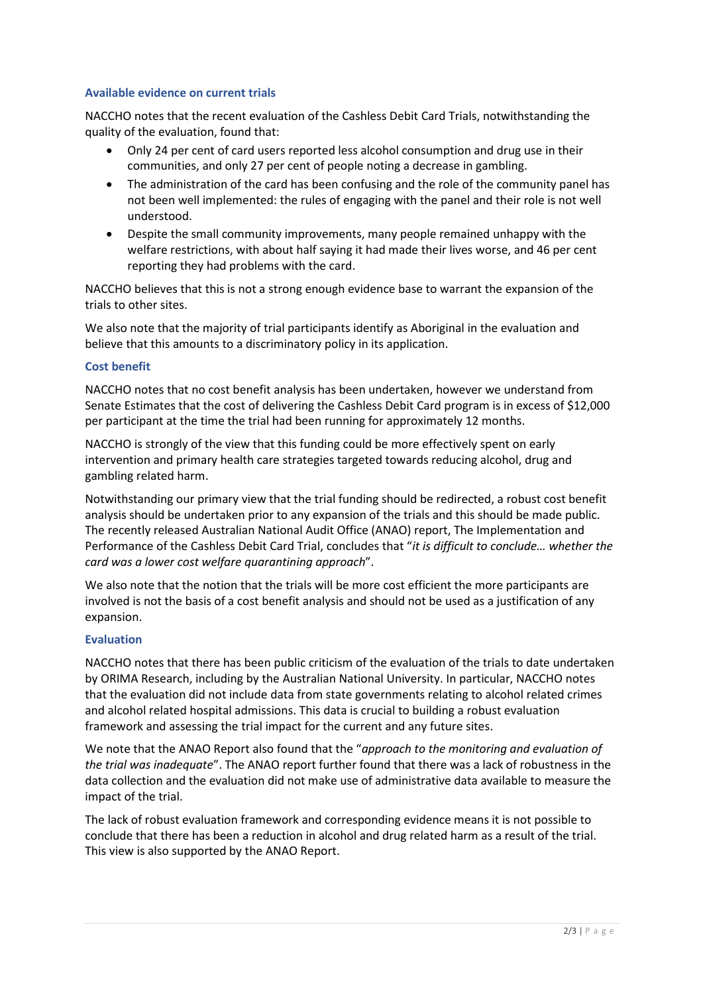#### **Available evidence on current trials**

NACCHO notes that the recent evaluation of the Cashless Debit Card Trials, notwithstanding the quality of the evaluation, found that:

- Only 24 per cent of card users reported less alcohol consumption and drug use in their communities, and only 27 per cent of people noting a decrease in gambling.
- The administration of the card has been confusing and the role of the community panel has not been well implemented: the rules of engaging with the panel and their role is not well understood.
- Despite the small community improvements, many people remained unhappy with the welfare restrictions, with about half saying it had made their lives worse, and 46 per cent reporting they had problems with the card.

NACCHO believes that this is not a strong enough evidence base to warrant the expansion of the trials to other sites.

We also note that the majority of trial participants identify as Aboriginal in the evaluation and believe that this amounts to a discriminatory policy in its application.

#### **Cost benefit**

NACCHO notes that no cost benefit analysis has been undertaken, however we understand from Senate Estimates that the cost of delivering the Cashless Debit Card program is in excess of \$12,000 per participant at the time the trial had been running for approximately 12 months.

NACCHO is strongly of the view that this funding could be more effectively spent on early intervention and primary health care strategies targeted towards reducing alcohol, drug and gambling related harm.

Notwithstanding our primary view that the trial funding should be redirected, a robust cost benefit analysis should be undertaken prior to any expansion of the trials and this should be made public. The recently released Australian National Audit Office (ANAO) report, The Implementation and Performance of the Cashless Debit Card Trial, concludes that "*it is difficult to conclude… whether the card was a lower cost welfare quarantining approach*".

We also note that the notion that the trials will be more cost efficient the more participants are involved is not the basis of a cost benefit analysis and should not be used as a justification of any expansion.

# **Evaluation**

NACCHO notes that there has been public criticism of the evaluation of the trials to date undertaken by ORIMA Research, including by the Australian National University. In particular, NACCHO notes that the evaluation did not include data from state governments relating to alcohol related crimes and alcohol related hospital admissions. This data is crucial to building a robust evaluation framework and assessing the trial impact for the current and any future sites.

We note that the ANAO Report also found that the "*approach to the monitoring and evaluation of the trial was inadequate*". The ANAO report further found that there was a lack of robustness in the data collection and the evaluation did not make use of administrative data available to measure the impact of the trial.

The lack of robust evaluation framework and corresponding evidence means it is not possible to conclude that there has been a reduction in alcohol and drug related harm as a result of the trial. This view is also supported by the ANAO Report.